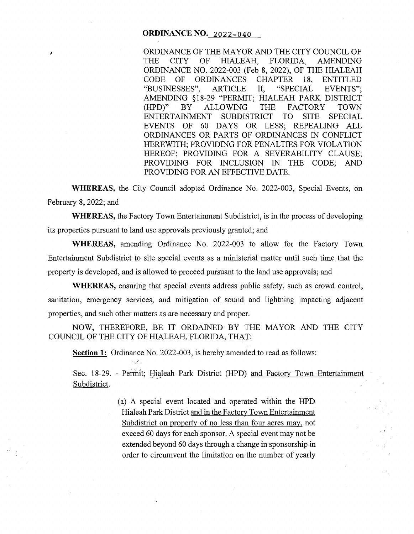#### **ORDINANCE NO.** 2022-040

,

ORDINANCE OF THE MAYOR AND THE CITY COUNCIL OF THE CITY OF HIALEAH, FLORIDA, AMENDING AMENDING ORDINANCE NO. 2022-003 (Feb 8, 2022), OF THE HIALEAH CODE OF ORDINANCES CHAPTER 18, ENTITLED "BUSINESSES", ARTICLE II, "SPECIAL EVENTS"; AMENDING § 18-29 "PERMIT; HIALEAH PARK DISTRICT (HPD)" BY ALLOWING THE FACTORY TOWN<br>ENTERTAINMENT SUBDISTRICT TO SITE SPECIAL ENTERTAINMENT SUBDISTRICT TO SITE SPECIAL EVENTS OF 60 DAYS OR LESS; REPEALING ALL ORDINANCES OR PARTS OF ORDINANCES IN CONFLICT HEREWITH; PROVIDING FOR PENALTIES FOR VIOLATION HEREOF; PROVIDING FOR A SEVERABILITY CLAUSE; PROVIDING FOR INCLUSION IN THE CODE; AND PROVIDING FOR AN EFFECTIVE DATE.

**WHEREAS,** the City Council adopted Ordinance No. 2022-003, Special Events, on February 8, 2022; and

**WHEREAS,** the Factory Town Entertainment Subdistrict, is in the process of developing its properties pursuant to land use approvals previously granted; and

**WHEREAS,** amending Ordinance No. 2022-003 to allow for the Factory Town Entertainment Subdistrict to site special events as a ministerial matter until such time that the property is developed, and is allowed to proceed pursuant to the land use approvals; and

**WHEREAS,** ensuring that special events address public safety, such as crowd control, sanitation, emergency services, and mitigation of sound and lightning impacting adjacent properties, and such other matters as are necessary and proper.

NOW, THEREFORE, BE IT ORDAINED BY THE MAYOR AND THE CITY COUNCIL OF THE CITY OF HIALEAH, FLORIDA, THAT:

**Section 1:** Ordinance No. 2022-003, is hereby amended to read as follows:

Sec. 18-29. - Permit; Hialeah Park District (HPD) and Factory Town Entertainment Subdistrict.

> (a) A special event located and operated within the HPD Hialeah Park District and in the Factory Town Entertainment Subdistrict on property of no less than four acres may, not exceed 60 days for each sponsor. A special event may not be extended beyond 60 days through a change in sponsorship in order to circumvent the limitation on the number of yearly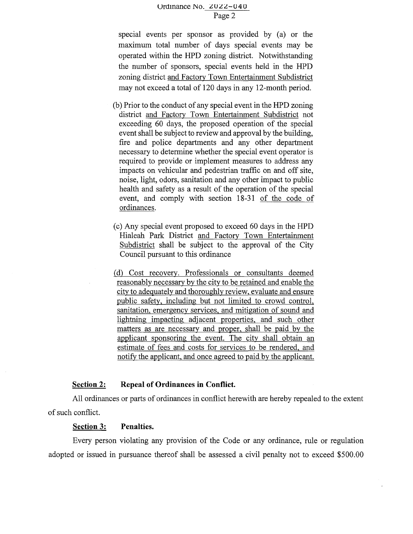## Urdinance No.  $2022 - 040$ Page 2

special events per sponsor as provided by (a) or the maximum total number of days special events may be operated within the HPD zoning district. Notwithstanding the number of sponsors, special events held in the HPD zoning district and Factory Town Entertainment Subdistrict may not exceed a total of 120 days in any 12-month period.

- (b) Prior to the conduct of any special event in the HPD zoning district and Factory Town Entertainment Subdistrict not exceeding 60 days, the proposed operation of the special event shall be subject to review and approval by the building, fire and police departments and any other department necessary to determine whether the special event operator is required to provide or implement measures to address any impacts on vehicular and pedestrian traffic on and off site, noise, light, odors, sanitation and any other impact to public health and safety as a result of the operation of the special event, and comply with section 18-31 of the code of ordinances.
- ( c) Any special event proposed to exceed 60 days in the HPD Hialeah Park District and Factory Town Entertainment Subdistrict shall be subject to the approval of the City Council pursuant to this ordinance
- (d) Cost recovery. Professionals or consultants deemed reasonably necessary by the city to be retained and enable the city to adequately and thoroughly review, evaluate and ensure public safety, including but not limited to crowd control, sanitation, emergency services, and mitigation of sound and lightning impacting adjacent properties, and such other matters as are necessary and proper, shall be paid by the applicant sponsoring the event. The city shall obtain an estimate of fees and costs for services to be rendered, and notify the applicant, and once agreed to paid by the applicant.

#### **Section 2: Repeal of Ordinances in Conflict.**

All ordinances or parts of ordinances in conflict herewith are hereby repealed to the extent of such conflict.

### **Section 3: Penalties.**

Every person violating any provision of the Code or any ordinance, rule or regulation adopted or issued in pursuance thereof shall be assessed a civil penalty not to exceed \$500.00